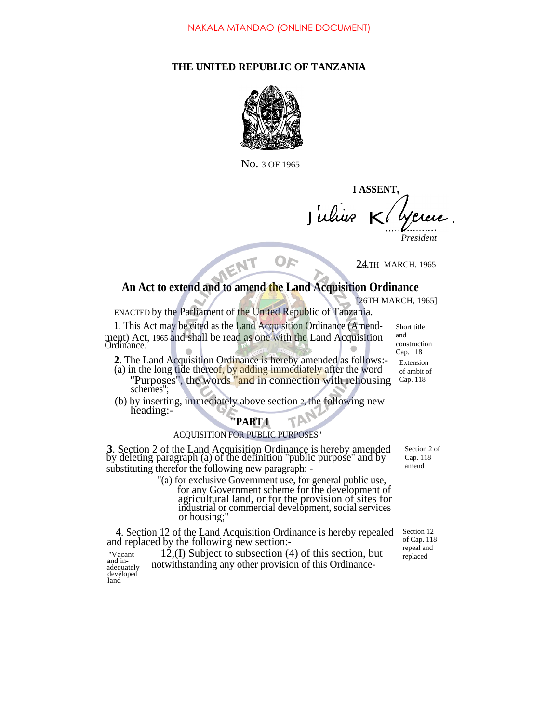### **THE UNITED REPUBLIC OF TANZANIA**



No. 3 OF 1965

**I ASSENT,** Julius K Yercre. *President*

24**......**TH MARCH, 1965

# **An Act to extend and to amend the Land Acquisition Ordinance**

Or

[26TH MARCH, 1965]

ENACTED by the Parliament of the United Republic of Tanzania.

ENT

**1**. This Act may be cited as the Land Acquisition Ordinance (Amendment) Act, 1965 and shall be read as one with the Land Acquisition Ordinance.

- **2**. The Land Acquisition Ordinance is hereby amended as follows:-
- (a) in the long tide thereof, by adding immediately after the word "Purposes", the words "and in connection with rehousing Cap. 118 schemes'';
- (b) by inserting, immediately above section 2, the following new heading:-

## **''PART I**

### ACQUISITION FOR PUBLIC PURPOSES''

**3**. Section 2 of the Land Acquisition Ordinance is hereby amended by deleting paragraph (a) of the definition ''public purpose'' and by substituting therefor the following new paragraph: -

> ''(a) for exclusive Government use, for general public use, for any Government scheme for the development of agricultural land, or for the provision of sites for industrial or commercial development, social services or housing;''

**4**. Section 12 of the Land Acquisition Ordinance is hereby repealed and replaced by the following new section:-

''Vacant 12,(I) Subject to subsection (4) of this section, but and in-<br>adequately notwithstanding any other provision of this Ordinancedeveloped land

Section 2 of Cap. 118 amend

Section 12 of Cap. 118 repeal and replaced

Short title and construction Cap. 118 Extension of ambit of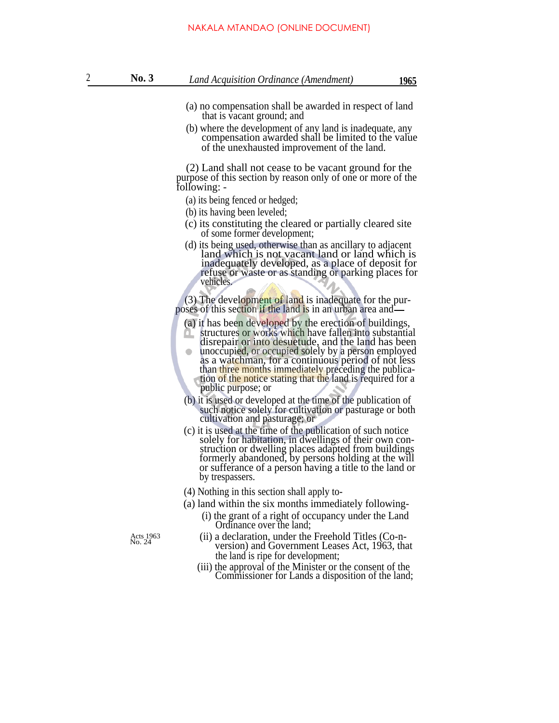- (a) no compensation shall be awarded in respect of land that is vacant ground; and
- (b) where the development of any land is inadequate, any compensation awarded shall be limited to the value of the unexhausted improvement of the land.

(2) Land shall not cease to be vacant ground for the purpose of this section by reason only of one or more of the following: -

- (a) its being fenced or hedged;
- (b) its having been leveled;
- (c) its constituting the cleared or partially cleared site of some former development;
- (d) its being used, otherwise than as ancillary to adjacent land which is not vacant land or land which is inadequately developed, as a place of deposit for refuse or waste or as standing or parking places for vehicles.

(3) The development of land is inadequate for the purposes of this section if the land is in an urban area and

- (a) it has been developed by the erection of buildings,
- structures or works which have fallen into substantial disrepair or into desuetude, and the land has been unoccupied, or occupied solely by a person employed as a watchman, for a continuous period of not less than three months immediately preceding the publication of the notice stating that the land is required for a public purpose; or
- (b) it is used or developed at the time of the publication of such notice solely for cultivation or pasturage or both cultivation and pasturage; or
- (c) it is used at the time of the publication of such notice solely for habitation, in dwellings of their own construction or dwelling places adapted from buildings formerly abandoned, by persons holding at the will or sufferance of a person having a title to the land or by trespassers.
- (4) Nothing in this section shall apply to-
- (a) land within the six months immediately following-
	- (i) the grant of a right of occupancy under the Land Ordinance over the land;

- Acts 1963 (ii) a declaration, under the Freehold Titles (Co-n-<br>
No. 24 version) and Government Leases Act, 1963, that the land is ripe for development;
	- (iii) the approval of the Minister or the consent of the Commissioner for Lands a disposition of the land;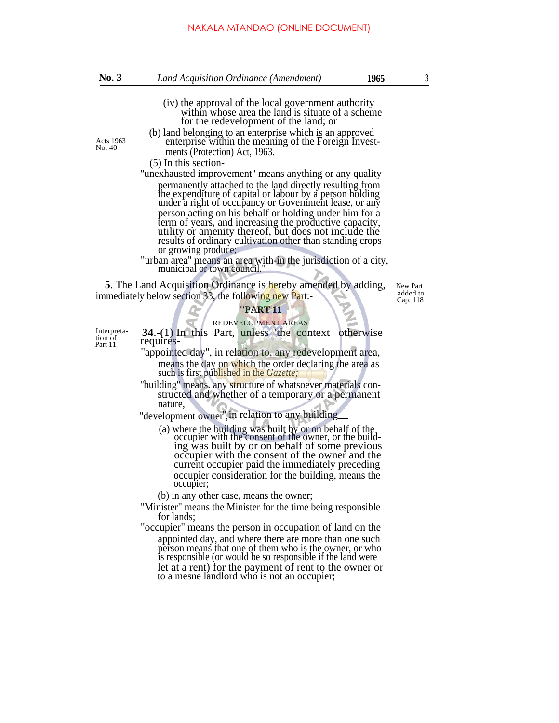- (iv) the approval of the local government authority within whose area the land is situate of a scheme for the redevelopment of the land; or
- 
- (b) land belonging to an enterprise which is an approved Acts 1963 enterprise within the meaning of the Foreign Invest-<br>No. 40 ments (Protection) Act, 1963.

(5) In this section-

''unexhausted improvement'' means anything or any quality permanently attached to the land directly resulting from the expenditure of capital or labour by a person holding under a right of occupancy or Government lease, or any person acting on his behalf or holding under him for a term of years, and increasing the productive capacity, utility or amenity thereof, but does not include the results of ordinary cultivation other than standing crops or growing produce;

"urban area'' means an area with-in the jurisdiction of a city, municipal or town council.''

**5**. The Land Acquisition Ordinance is hereby amended by adding, New Part immediately below section 33, the following new Part:-

added to Cap. 118

#### **''PART 11**

REDEVELOPMENT AREAS

Interpretation of Part 11

**34**.-(1) In this Part, unless 'the context otherwise requires-''appointed day'', in relation to, any redevelopment area,

- means the day on which the order declaring the area as such is first published in the *Gazette;*
- ''building'' means. any structure of whatsoever materials constructed and whether of a temporary or a permanent nature,

"development owner" in relation to any building

(a) where the building was built by or on behalf of the occupier with the consent of the owner, or the building was built by or on behalf of some previous occupier with the consent of the owner and the current occupier paid the immediately preceding occupier consideration for the building, means the occupier;

(b) in any other case, means the owner;

"Minister" means the Minister for the time being responsible for lands;

"occupier'' means the person in occupation of land on the appointed day, and where there are more than one such person means that one of them who is the owner, or who is responsible (or would be so responsible if the land were let at a rent) for the payment of rent to the owner or to a mesne landlord who is not an occupier;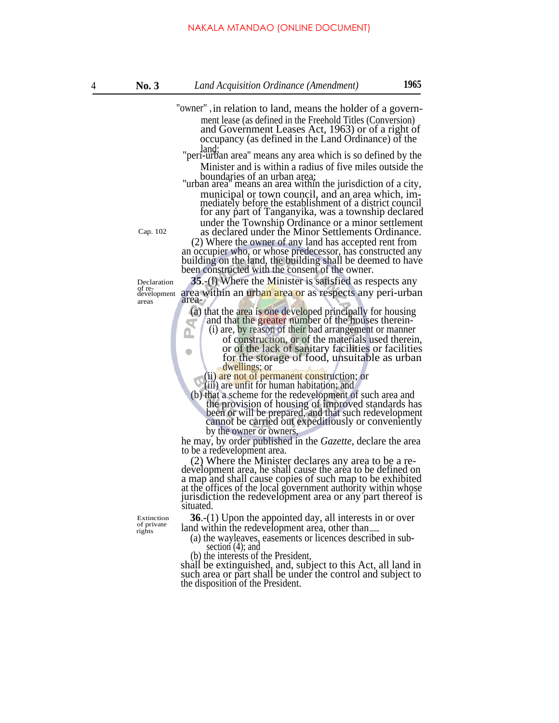- "owner" ,in relation to land, means the holder of a government lease (as defined in the Freehold Titles (Conversion) and Government Leases Act, 1963) or of a right of occupancy (as defined in the Land Ordinance) of the
	- land; "peri-urban area'' means any area which is so defined by the Minister and is within a radius of five miles outside the
- boundaries of an urban area; ''urban area'' means an area within the jurisdiction of a city, municipal or town council, and an area which, immediately before the establishment of a district council for any part of Tanganyika, was a township declared under the Township Ordinance or a minor settlement Cap. 102 as declared under the Minor Settlements Ordinance.

(2) Where the owner of any land has accepted rent from an occupier who, or whose predecessor, has constructed any building on the land, the building shall be deemed to have been constructed with the consent of the owner.

Declaration **35**.-(l) Where the Minister is satisfied as respects any of re-<br>development area within an urban area or as respects any peri-urban<br>areas

> (a) that the area is one developed principally for housing and that the greater number of the houses therein- $\overline{\mathbb{R}}$ Δ

- (i) are, by reason of their bad arrangement or manner of construction, or of the materials used therein,
	- or of the lack of sanitary facilities or facilities for the storage of food, unsuitable as urban dwellings; or

(ii) are not of permanent construction; or

(iii) are unfit for human habitation; and

(b) that a scheme for the redevelopment of such area and the provision of housing of improved standards has been or will be prepared, and that such redevelopment cannot be carried out expeditiously or conveniently by the owner or owners,

he may, by order published in the *Gazette,* declare the area to be a redevelopment area.

(2) Where the Minister declares any area to be a redevelopment area, he shall cause the area to be defined on a map and shall cause copies of such map to be exhibited at the offices of the local government authority within whose jurisdiction the redevelopment area or any part thereof is situated.

Extinction  $36.-(1)$  Upon the appointed day, all interests in or over land within the redevelopment area, other than.

(a) the wayleaves, easements or licences described in subsection (4); and

(b) the interests of the President,

shall be extinguished, and, subject to this Act, all land in such area or part shall be under the control and subject to the disposition of the President.

 $\bullet$ 

of private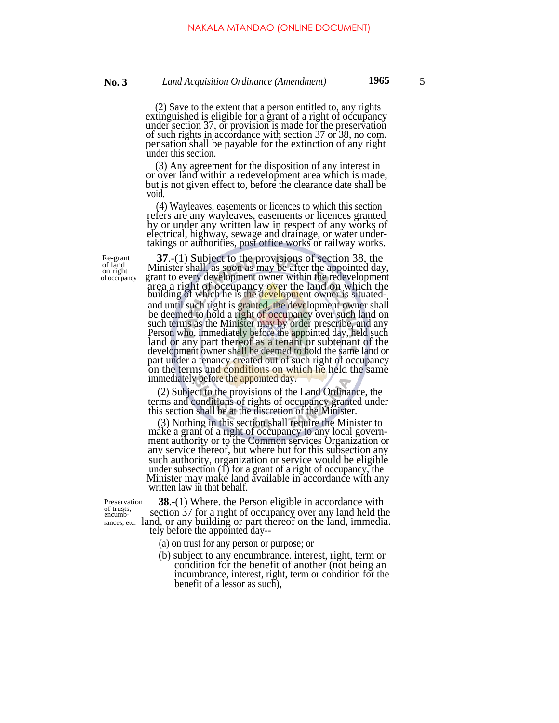(2) Save to the extent that a person entitled to, any rights extinguished is eligible for a grant of a right of occupancy under section 37, or provision is made for the preservation of such rights in accordance with section 37 or 38, no com. pensation shall be payable for the extinction of any right under this section.

(3) Any agreement for the disposition of any interest in or over land within a redevelopment area which is made, but is not given effect to, before the clearance date shall be void.

(4) Wayleaves, easements or licences to which this section refers are any wayleaves, easements or licences granted by or under any written law in respect of any works of electrical, highway, sewage and drainage, or water undertakings or authorities, post office works or railway works.

Re-grant of land on right

**37**.-(1) Subject to the provisions of section 38, the Minister shall, as soon as may be after the appointed day, of occupancy grant to every development owner within the redevelopment area a right of occupancy over the land on which the building of which he is the development owner is situatedand until such right is granted, the development owner shall be deemed to hold a right of occupancy over such land on such terms as the Minister may by order prescribe, and any Person who, immediately before the appointed day, held such land or any part thereof as a tenant or subtenant of the development owner shall be deemed to hold the same land or part under a tenancy created out of such right of occupancy on the terms and conditions on which he held the same immediately before the appointed day.

> (2) Subject to the provisions of the Land Ordinance, the terms and conditions of rights of occupancy granted under this section shall be at the discretion of the Minister.

> (3) Nothing in this section shall require the Minister to make a grant of a right of occupancy to any local government authority or to the Common services Organization or any service thereof, but where but for this subsection any such authority, organization or service would be eligible under subsection  $(1)$  for a grant of a right of occupancy, the Minister may make land available in accordance with any written law in that behalf.

Preservation of trusts, encumb-

**38.**-(1) Where. the Person eligible in accordance with section 37 for a right of occupancy over any land held the rances, etc. land, or any building or part thereof on the land, immedia. tely before the appointed day--

- (a) on trust for any person or purpose; or
- (b) subject to any encumbrance. interest, right, term or condition for the benefit of another (not being an incumbrance, interest, right, term or condition for the benefit of a lessor as such),

5